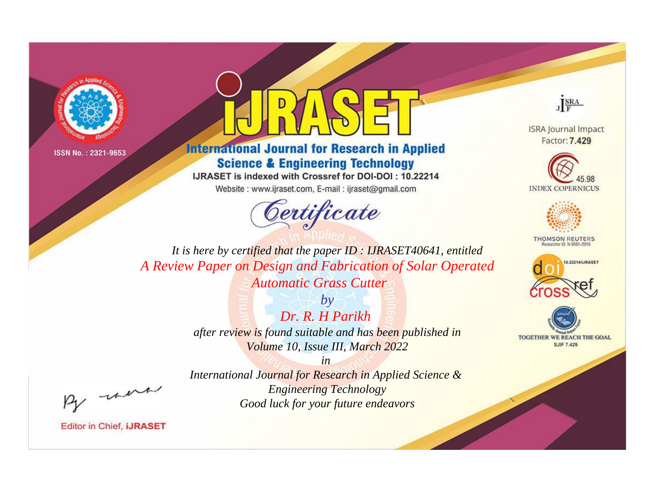



# **International Journal for Research in Applied Science & Engineering Technology**

IJRASET is indexed with Crossref for DOI-DOI: 10.22214

Website: www.ijraset.com, E-mail: ijraset@gmail.com



JERA

**ISRA Journal Impact** Factor: 7.429





**THOMSON REUTERS** 



TOGETHER WE REACH THE GOAL **SJIF 7.429** 

It is here by certified that the paper ID: IJRASET40641, entitled A Review Paper on Design and Fabrication of Solar Operated **Automatic Grass Cutter** 

> $b\nu$  $Dr R H Parikh$ after review is found suitable and has been published in Volume 10, Issue III, March 2022

> > $in$

International Journal for Research in Applied Science & **Engineering Technology** Good luck for your future endeavors

were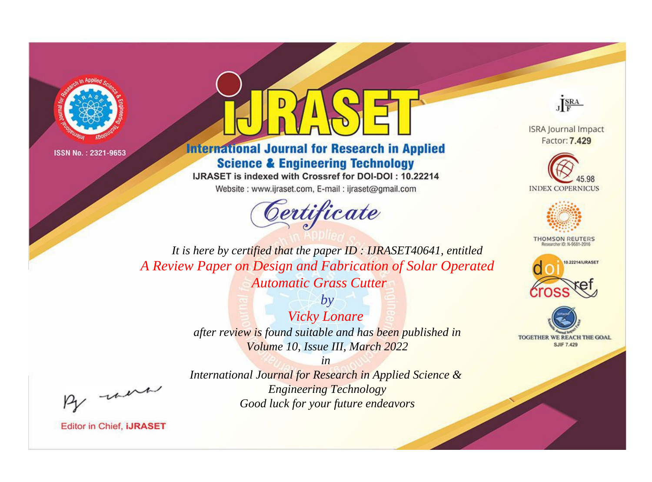



# **International Journal for Research in Applied Science & Engineering Technology**

IJRASET is indexed with Crossref for DOI-DOI: 10.22214

Website: www.ijraset.com, E-mail: ijraset@gmail.com



JERA

**ISRA Journal Impact** Factor: 7.429





**THOMSON REUTERS** 



TOGETHER WE REACH THE GOAL **SJIF 7.429** 

It is here by certified that the paper ID: IJRASET40641, entitled A Review Paper on Design and Fabrication of Solar Operated **Automatic Grass Cutter** 

> $b\nu$ **Vicky Lonare** after review is found suitable and has been published in Volume 10, Issue III, March 2022

were

International Journal for Research in Applied Science & **Engineering Technology** Good luck for your future endeavors

 $in$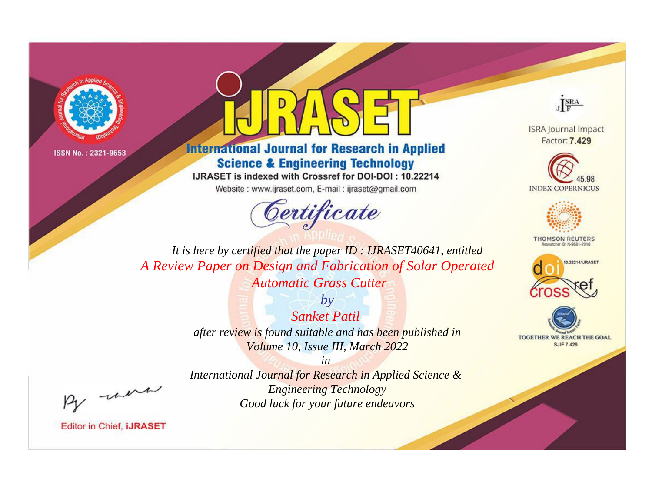



# **International Journal for Research in Applied Science & Engineering Technology**

IJRASET is indexed with Crossref for DOI-DOI: 10.22214

Website: www.ijraset.com, E-mail: ijraset@gmail.com



JERA

**ISRA Journal Impact** Factor: 7.429





**THOMSON REUTERS** 



TOGETHER WE REACH THE GOAL **SJIF 7.429** 

It is here by certified that the paper ID: IJRASET40641, entitled A Review Paper on Design and Fabrication of Solar Operated **Automatic Grass Cutter** 

> $by$ **Sanket Patil** after review is found suitable and has been published in Volume 10, Issue III, March 2022

were

International Journal for Research in Applied Science & **Engineering Technology** Good luck for your future endeavors

 $in$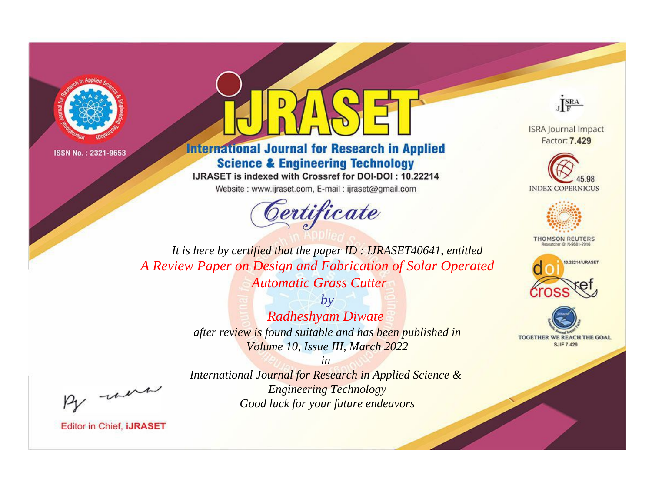

# **International Journal for Research in Applied Science & Engineering Technology**

IJRASET is indexed with Crossref for DOI-DOI: 10.22214

Website: www.ijraset.com, E-mail: ijraset@gmail.com



JERA

**ISRA Journal Impact** Factor: 7.429





**THOMSON REUTERS** 



TOGETHER WE REACH THE GOAL **SJIF 7.429** 

It is here by certified that the paper ID: IJRASET40641, entitled A Review Paper on Design and Fabrication of Solar Operated **Automatic Grass Cutter** 

> $b\nu$ Radheshyam Diwate after review is found suitable and has been published in Volume 10, Issue III, March 2022

> > $in$

International Journal for Research in Applied Science & **Engineering Technology** Good luck for your future endeavors

were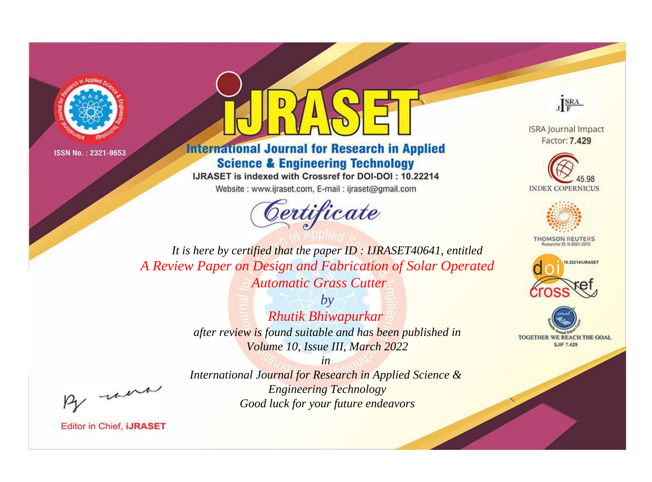

# **International Journal for Research in Applied Science & Engineering Technology**

IJRASET is indexed with Crossref for DOI-DOI: 10.22214

Website: www.ijraset.com, E-mail: ijraset@gmail.com



JERA

**ISRA Journal Impact** Factor: 7.429





**THOMSON REUTERS** 



TOGETHER WE REACH THE GOAL **SJIF 7.429** 

It is here by certified that the paper ID: IJRASET40641, entitled A Review Paper on Design and Fabrication of Solar Operated **Automatic Grass Cutter** 

> $b\nu$ **Rhutik Bhiwapurkar** after review is found suitable and has been published in Volume 10, Issue III, March 2022

were

International Journal for Research in Applied Science & **Engineering Technology** Good luck for your future endeavors

 $in$